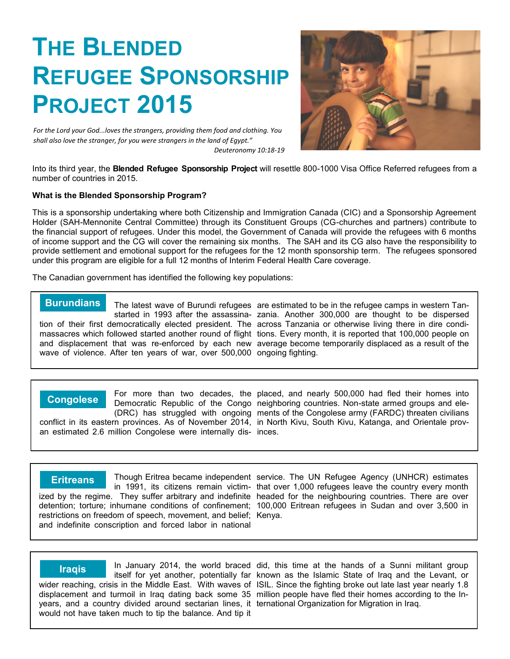# **THE BLENDED REFUGEE SPONSORSHIP PROJECT 2015**

*For the Lord your God...loves the strangers, providing them food and clothing. You shall also love the stranger, for you were strangers in the land of Egypt." Deuteronomy 10:18-19*



Into its third year, the **Blended Refugee Sponsorship Project** will resettle 800-1000 Visa Office Referred refugees from a number of countries in 2015.

#### **What is the Blended Sponsorship Program?**

This is a sponsorship undertaking where both Citizenship and Immigration Canada (CIC) and a Sponsorship Agreement Holder (SAH-Mennonite Central Committee) through its Constituent Groups (CG-churches and partners) contribute to the financial support of refugees. Under this model, the Government of Canada will provide the refugees with 6 months of income support and the CG will cover the remaining six months. The SAH and its CG also have the responsibility to provide settlement and emotional support for the refugees for the 12 month sponsorship term. The refugees sponsored under this program are eligible for a full 12 months of Interim Federal Health Care coverage.

The Canadian government has identified the following key populations:

The latest wave of Burundi refugees are estimated to be in the refugee camps in western Tanstarted in 1993 after the assassina-zania. Another 300,000 are thought to be dispersed tion of their first democratically elected president. The across Tanzania or otherwise living there in dire condimassacres which followed started another round of flight tions. Every month, it is reported that 100,000 people on and displacement that was re-enforced by each new average become temporarily displaced as a result of the wave of violence. After ten years of war, over 500,000 ongoing fighting. **Burundians**

(DRC) has struggled with ongoing conflict in its eastern provinces. As of November 2014, an estimated 2.6 million Congolese were internally dis-inces. **Congolese**

For more than two decades, the placed, and nearly 500,000 had fled their homes into Democratic Republic of the Congo neighboring countries. Non-state armed groups and elements of the Congolese army (FARDC) threaten civilians in North Kivu, South Kivu, Katanga, and Orientale prov-

restrictions on freedom of speech, movement, and belief; Kenya. and indefinite conscription and forced labor in national **Eritreans**

Though Eritrea became independent service. The UN Refugee Agency (UNHCR) estimates in 1991, its citizens remain victim-that over 1,000 refugees leave the country every month ized by the regime. They suffer arbitrary and indefinite headed for the neighbouring countries. There are over detention; torture; inhumane conditions of confinement; 100,000 Eritrean refugees in Sudan and over 3,500 in

years, and a country divided around sectarian lines, it ternational Organization for Migration in Iraq. would not have taken much to tip the balance. And tip it **Iraqis**

In January 2014, the world braced did, this time at the hands of a Sunni militant group itself for yet another, potentially far known as the Islamic State of Iraq and the Levant, or wider reaching, crisis in the Middle East. With waves of ISIL. Since the fighting broke out late last year nearly 1.8 displacement and turmoil in Iraq dating back some 35 million people have fled their homes according to the In